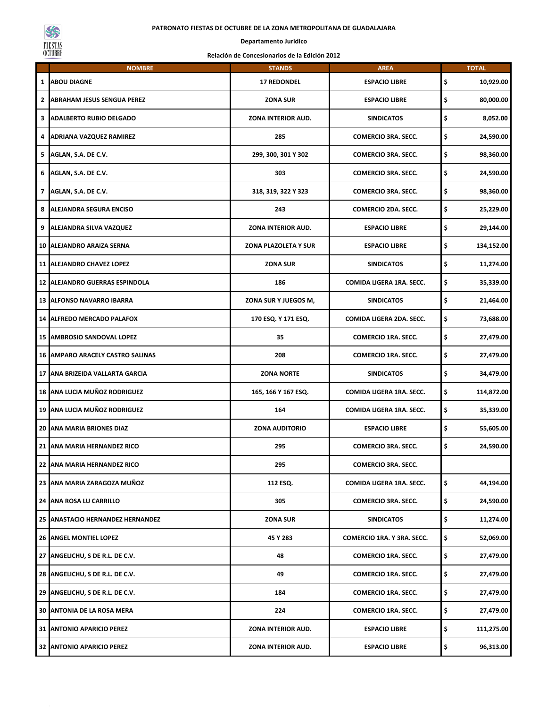## **PATRONATO FIESTAS DE OCTUBRE DE LA ZONA METROPOLITANA DE GUADALAJARA**



## **Departamento Juridico**

## **Relación de Concesionarios de la Edición 2012**

|                | <b>NOMBRE</b>                           | <b>STANDS</b>         | <b>AREA</b>                | <b>TOTAL</b>     |
|----------------|-----------------------------------------|-----------------------|----------------------------|------------------|
| 1              | ABOU DIAGNE                             | <b>17 REDONDEL</b>    | <b>ESPACIO LIBRE</b>       | \$<br>10,929.00  |
|                | 2 ABRAHAM JESUS SENGUA PEREZ            | <b>ZONA SUR</b>       | <b>ESPACIO LIBRE</b>       | \$<br>80,000.00  |
| 3 <sub>1</sub> | <b>ADALBERTO RUBIO DELGADO</b>          | ZONA INTERIOR AUD.    | <b>SINDICATOS</b>          | \$<br>8,052.00   |
| 4              | <b>ADRIANA VAZQUEZ RAMIREZ</b>          | 285                   | <b>COMERCIO 3RA. SECC.</b> | \$<br>24,590.00  |
|                | 5 AGLAN, S.A. DE C.V.                   | 299, 300, 301 Y 302   | <b>COMERCIO 3RA. SECC.</b> | \$<br>98,360.00  |
| 6              | AGLAN, S.A. DE C.V.                     | 303                   | <b>COMERCIO 3RA. SECC.</b> | \$<br>24,590.00  |
|                | 7 AGLAN, S.A. DE C.V.                   | 318, 319, 322 Y 323   | <b>COMERCIO 3RA. SECC.</b> | \$<br>98,360.00  |
| 8              | ALEJANDRA SEGURA ENCISO                 | 243                   | <b>COMERCIO 2DA. SECC.</b> | \$<br>25,229.00  |
| 9              | ALEJANDRA SILVA VAZQUEZ                 | ZONA INTERIOR AUD.    | <b>ESPACIO LIBRE</b>       | \$<br>29,144.00  |
|                | 10 ALEJANDRO ARAIZA SERNA               | ZONA PLAZOLETA Y SUR  | <b>ESPACIO LIBRE</b>       | \$<br>134,152.00 |
|                | 11 ALEJANDRO CHAVEZ LOPEZ               | <b>ZONA SUR</b>       | <b>SINDICATOS</b>          | \$<br>11,274.00  |
|                | 12 ALEJANDRO GUERRAS ESPINDOLA          | 186                   | COMIDA LIGERA 1RA. SECC.   | \$<br>35,339.00  |
|                | <b>13 ALFONSO NAVARRO IBARRA</b>        | ZONA SUR Y JUEGOS M,  | <b>SINDICATOS</b>          | \$<br>21,464.00  |
|                | <b>14 ALFREDO MERCADO PALAFOX</b>       | 170 ESQ. Y 171 ESQ.   | COMIDA LIGERA 2DA. SECC.   | \$<br>73,688.00  |
|                | <b>15 AMBROSIO SANDOVAL LOPEZ</b>       | 35                    | <b>COMERCIO 1RA. SECC.</b> | \$<br>27,479.00  |
|                | <b>16 AMPARO ARACELY CASTRO SALINAS</b> | 208                   | <b>COMERCIO 1RA. SECC.</b> | \$<br>27,479.00  |
|                | 17 ANA BRIZEIDA VALLARTA GARCIA         | <b>ZONA NORTE</b>     | <b>SINDICATOS</b>          | \$<br>34,479.00  |
|                | 18 ANA LUCIA MUÑOZ RODRIGUEZ            | 165, 166 Y 167 ESQ.   | COMIDA LIGERA 1RA. SECC.   | \$<br>114,872.00 |
|                | 19 ANA LUCIA MUÑOZ RODRIGUEZ            | 164                   | COMIDA LIGERA 1RA. SECC.   | \$<br>35,339.00  |
|                | 20 ANA MARIA BRIONES DIAZ               | <b>ZONA AUDITORIO</b> | <b>ESPACIO LIBRE</b>       | \$<br>55,605.00  |
| 21             | ANA MARIA HERNANDEZ RICO                | 295                   | <b>COMERCIO 3RA. SECC.</b> | \$<br>24,590.00  |
|                | 22 ANA MARIA HERNANDEZ RICO             | 295                   | COMERCIO 3RA. SECC.        |                  |
|                | 23 ANA MARIA ZARAGOZA MUÑOZ             | 112 ESQ.              | COMIDA LIGERA 1RA. SECC.   | \$<br>44,194.00  |
|                | 24 ANA ROSA LU CARRILLO                 | 305                   | <b>COMERCIO 3RA. SECC.</b> | \$<br>24,590.00  |
|                | 25 ANASTACIO HERNANDEZ HERNANDEZ        | <b>ZONA SUR</b>       | <b>SINDICATOS</b>          | \$<br>11,274.00  |
|                | <b>26 ANGEL MONTIEL LOPEZ</b>           | 45 Y 283              | COMERCIO 1RA. Y 3RA. SECC. | \$<br>52,069.00  |
|                | 27 ANGELICHU, S DE R.L. DE C.V.         | 48                    | <b>COMERCIO 1RA. SECC.</b> | \$<br>27,479.00  |
|                | 28 ANGELICHU, S DE R.L. DE C.V.         | 49                    | <b>COMERCIO 1RA. SECC.</b> | \$<br>27,479.00  |
|                | 29 ANGELICHU, S DE R.L. DE C.V.         | 184                   | <b>COMERCIO 1RA. SECC.</b> | \$<br>27,479.00  |
|                | <b>30 ANTONIA DE LA ROSA MERA</b>       | 224                   | <b>COMERCIO 1RA. SECC.</b> | \$<br>27,479.00  |
|                | 31 ANTONIO APARICIO PEREZ               | ZONA INTERIOR AUD.    | <b>ESPACIO LIBRE</b>       | \$<br>111,275.00 |
|                | 32 ANTONIO APARICIO PEREZ               | ZONA INTERIOR AUD.    | <b>ESPACIO LIBRE</b>       | \$<br>96,313.00  |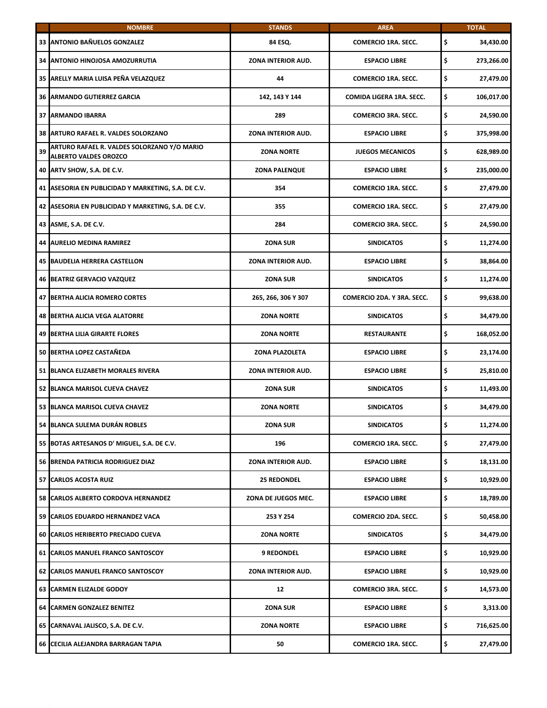|    | <b>NOMBRE</b>                                                               | <b>STANDS</b>             | <b>AREA</b>                | <b>TOTAL</b>     |
|----|-----------------------------------------------------------------------------|---------------------------|----------------------------|------------------|
|    | 33 ANTONIO BAÑUELOS GONZALEZ                                                | 84 ESQ.                   | <b>COMERCIO 1RA. SECC.</b> | \$<br>34,430.00  |
|    | 34 ANTONIO HINOJOSA AMOZURRUTIA                                             | ZONA INTERIOR AUD.        | <b>ESPACIO LIBRE</b>       | \$<br>273,266.00 |
|    | 35 ARELLY MARIA LUISA PEÑA VELAZQUEZ                                        | 44                        | <b>COMERCIO 1RA. SECC.</b> | \$<br>27,479.00  |
|    | <b>36 ARMANDO GUTIERREZ GARCIA</b>                                          | 142, 143 Y 144            | COMIDA LIGERA 1RA. SECC.   | \$<br>106,017.00 |
|    | <b>37 ARMANDO IBARRA</b>                                                    | 289                       | <b>COMERCIO 3RA. SECC.</b> | \$<br>24,590.00  |
|    | 38 ARTURO RAFAEL R. VALDES SOLORZANO                                        | <b>ZONA INTERIOR AUD.</b> | <b>ESPACIO LIBRE</b>       | \$<br>375,998.00 |
| 39 | ARTURO RAFAEL R. VALDES SOLORZANO Y/O MARIO<br><b>ALBERTO VALDES OROZCO</b> | <b>ZONA NORTE</b>         | <b>JUEGOS MECANICOS</b>    | \$<br>628,989.00 |
|    | 40 ARTV SHOW, S.A. DE C.V.                                                  | <b>ZONA PALENQUE</b>      | <b>ESPACIO LIBRE</b>       | \$<br>235,000.00 |
|    | 41 ASESORIA EN PUBLICIDAD Y MARKETING, S.A. DE C.V.                         | 354                       | <b>COMERCIO 1RA. SECC.</b> | \$<br>27,479.00  |
|    | 42 ASESORIA EN PUBLICIDAD Y MARKETING, S.A. DE C.V.                         | 355                       | <b>COMERCIO 1RA. SECC.</b> | \$<br>27,479.00  |
|    | 43 ASME, S.A. DE C.V.                                                       | 284                       | <b>COMERCIO 3RA. SECC.</b> | \$<br>24,590.00  |
|    | 44 AURELIO MEDINA RAMIREZ                                                   | <b>ZONA SUR</b>           | <b>SINDICATOS</b>          | \$<br>11,274.00  |
|    | <b>45 BAUDELIA HERRERA CASTELLON</b>                                        | ZONA INTERIOR AUD.        | <b>ESPACIO LIBRE</b>       | \$<br>38,864.00  |
|    | 46 BEATRIZ GERVACIO VAZQUEZ                                                 | <b>ZONA SUR</b>           | <b>SINDICATOS</b>          | \$<br>11,274.00  |
|    | <b>47 BERTHA ALICIA ROMERO CORTES</b>                                       | 265, 266, 306 Y 307       | COMERCIO 2DA. Y 3RA. SECC. | \$<br>99,638.00  |
|    | <b>48 BERTHA ALICIA VEGA ALATORRE</b>                                       | <b>ZONA NORTE</b>         | <b>SINDICATOS</b>          | \$<br>34,479.00  |
|    | <b>49 BERTHA LILIA GIRARTE FLORES</b>                                       | <b>ZONA NORTE</b>         | <b>RESTAURANTE</b>         | \$<br>168,052.00 |
|    | 50 BERTHA LOPEZ CASTAÑEDA                                                   | ZONA PLAZOLETA            | <b>ESPACIO LIBRE</b>       | \$<br>23,174.00  |
|    | 51 BLANCA ELIZABETH MORALES RIVERA                                          | <b>ZONA INTERIOR AUD.</b> | <b>ESPACIO LIBRE</b>       | \$<br>25,810.00  |
|    | 52 BLANCA MARISOL CUEVA CHAVEZ                                              | <b>ZONA SUR</b>           | <b>SINDICATOS</b>          | \$<br>11,493.00  |
|    | 53 BLANCA MARISOL CUEVA CHAVEZ                                              | <b>ZONA NORTE</b>         | <b>SINDICATOS</b>          | \$<br>34,479.00  |
|    | 54 BLANCA SULEMA DURÁN ROBLES                                               | ZONA SUR                  | <b>SINDICATOS</b>          | \$<br>11,274.00  |
|    | 55 BOTAS ARTESANOS D' MIGUEL, S.A. DE C.V.                                  | 196                       | <b>COMERCIO 1RA. SECC.</b> | \$<br>27,479.00  |
|    | 56 BRENDA PATRICIA RODRIGUEZ DIAZ                                           | ZONA INTERIOR AUD.        | <b>ESPACIO LIBRE</b>       | \$<br>18,131.00  |
|    | 57 CARLOS ACOSTA RUIZ                                                       | <b>25 REDONDEL</b>        | <b>ESPACIO LIBRE</b>       | \$<br>10,929.00  |
|    | 58 CARLOS ALBERTO CORDOVA HERNANDEZ                                         | ZONA DE JUEGOS MEC.       | <b>ESPACIO LIBRE</b>       | \$<br>18,789.00  |
|    | 59 CARLOS EDUARDO HERNANDEZ VACA                                            | 253 Y 254                 | COMERCIO 2DA. SECC.        | \$<br>50,458.00  |
|    | 60 CARLOS HERIBERTO PRECIADO CUEVA                                          | <b>ZONA NORTE</b>         | <b>SINDICATOS</b>          | \$<br>34,479.00  |
|    | 61 CARLOS MANUEL FRANCO SANTOSCOY                                           | <b>9 REDONDEL</b>         | <b>ESPACIO LIBRE</b>       | \$<br>10,929.00  |
|    | 62 CARLOS MANUEL FRANCO SANTOSCOY                                           | ZONA INTERIOR AUD.        | <b>ESPACIO LIBRE</b>       | \$<br>10,929.00  |
|    | 63 CARMEN ELIZALDE GODOY                                                    | 12                        | <b>COMERCIO 3RA. SECC.</b> | \$<br>14,573.00  |
|    | 64 CARMEN GONZALEZ BENITEZ                                                  | <b>ZONA SUR</b>           | <b>ESPACIO LIBRE</b>       | \$<br>3,313.00   |
|    | 65 CARNAVAL JALISCO, S.A. DE C.V.                                           | <b>ZONA NORTE</b>         | <b>ESPACIO LIBRE</b>       | \$<br>716,625.00 |
|    | 66 CECILIA ALEJANDRA BARRAGAN TAPIA                                         | 50                        | <b>COMERCIO 1RA. SECC.</b> | \$<br>27,479.00  |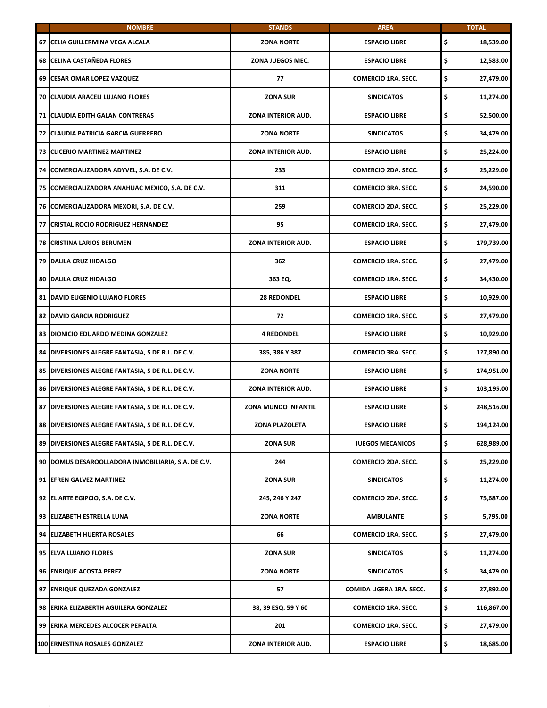|                 | <b>NOMBRE</b>                                      | <b>STANDS</b>              | <b>AREA</b>                | <b>TOTAL</b>     |
|-----------------|----------------------------------------------------|----------------------------|----------------------------|------------------|
| 67              | CELIA GUILLERMINA VEGA ALCALA                      | <b>ZONA NORTE</b>          | <b>ESPACIO LIBRE</b>       | \$<br>18,539.00  |
| 68              | <b>CELINA CASTAÑEDA FLORES</b>                     | ZONA JUEGOS MEC.           | <b>ESPACIO LIBRE</b>       | \$<br>12,583.00  |
| 69 l            | <b>CESAR OMAR LOPEZ VAZQUEZ</b>                    | 77                         | <b>COMERCIO 1RA. SECC.</b> | \$<br>27,479.00  |
| 70 I            | <b>CLAUDIA ARACELI LUJANO FLORES</b>               | <b>ZONA SUR</b>            | <b>SINDICATOS</b>          | \$<br>11,274.00  |
|                 | 71 CLAUDIA EDITH GALAN CONTRERAS                   | ZONA INTERIOR AUD.         | <b>ESPACIO LIBRE</b>       | \$<br>52,500.00  |
| 72 <sub>1</sub> | <b>CLAUDIA PATRICIA GARCIA GUERRERO</b>            | <b>ZONA NORTE</b>          | <b>SINDICATOS</b>          | \$<br>34,479.00  |
| 73 I            | <b>CLICERIO MARTINEZ MARTINEZ</b>                  | <b>ZONA INTERIOR AUD.</b>  | <b>ESPACIO LIBRE</b>       | \$<br>25,224.00  |
|                 | 74 COMERCIALIZADORA ADYVEL, S.A. DE C.V.           | 233                        | <b>COMERCIO 2DA. SECC.</b> | \$<br>25,229.00  |
| <b>75</b>       | COMERCIALIZADORA ANAHUAC MEXICO, S.A. DE C.V.      | 311                        | <b>COMERCIO 3RA. SECC.</b> | \$<br>24,590.00  |
|                 | 76 COMERCIALIZADORA MEXORI, S.A. DE C.V.           | 259                        | <b>COMERCIO 2DA. SECC.</b> | \$<br>25,229.00  |
| 77              | <b>CRISTAL ROCIO RODRIGUEZ HERNANDEZ</b>           | 95                         | <b>COMERCIO 1RA. SECC.</b> | \$<br>27,479.00  |
| 78              | <b>CRISTINA LARIOS BERUMEN</b>                     | ZONA INTERIOR AUD.         | <b>ESPACIO LIBRE</b>       | \$<br>179,739.00 |
|                 | 79 DALILA CRUZ HIDALGO                             | 362                        | <b>COMERCIO 1RA. SECC.</b> | \$<br>27,479.00  |
| 80 I            | <b>DALILA CRUZ HIDALGO</b>                         | 363 EQ.                    | <b>COMERCIO 1RA. SECC.</b> | \$<br>34,430.00  |
|                 | 81 DAVID EUGENIO LUJANO FLORES                     | <b>28 REDONDEL</b>         | <b>ESPACIO LIBRE</b>       | \$<br>10,929.00  |
| 82              | <b>DAVID GARCIA RODRIGUEZ</b>                      | 72                         | <b>COMERCIO 1RA. SECC.</b> | \$<br>27,479.00  |
| 83              | DIONICIO EDUARDO MEDINA GONZALEZ                   | <b>4 REDONDEL</b>          | <b>ESPACIO LIBRE</b>       | \$<br>10,929.00  |
|                 | 84 DIVERSIONES ALEGRE FANTASIA, S DE R.L. DE C.V.  | 385, 386 Y 387             | <b>COMERCIO 3RA. SECC.</b> | \$<br>127,890.00 |
|                 | 85 DIVERSIONES ALEGRE FANTASIA, S DE R.L. DE C.V.  | <b>ZONA NORTE</b>          | <b>ESPACIO LIBRE</b>       | \$<br>174,951.00 |
|                 | 86 DIVERSIONES ALEGRE FANTASIA, S DE R.L. DE C.V.  | ZONA INTERIOR AUD.         | <b>ESPACIO LIBRE</b>       | \$<br>103,195.00 |
| 87              | DIVERSIONES ALEGRE FANTASIA, S DE R.L. DE C.V.     | <b>ZONA MUNDO INFANTIL</b> | <b>ESPACIO LIBRE</b>       | \$<br>248,516.00 |
|                 | 88 DIVERSIONES ALEGRE FANTASIA, S DE R.L. DE C.V.  | ZONA PLAZOLETA             | <b>ESPACIO LIBRE</b>       | \$<br>194,124.00 |
|                 | 89 DIVERSIONES ALEGRE FANTASIA, S DE R.L. DE C.V.  | <b>ZONA SUR</b>            | <b>JUEGOS MECANICOS</b>    | \$<br>628,989.00 |
|                 | 90 DOMUS DESAROOLLADORA INMOBILIARIA, S.A. DE C.V. | 244                        | COMERCIO 2DA. SECC.        | \$<br>25,229.00  |
|                 | 91 EFREN GALVEZ MARTINEZ                           | ZONA SUR                   | <b>SINDICATOS</b>          | \$<br>11,274.00  |
|                 | 92 EL ARTE EGIPCIO, S.A. DE C.V.                   | 245, 246 Y 247             | COMERCIO 2DA. SECC.        | \$<br>75,687.00  |
|                 | 93 ELIZABETH ESTRELLA LUNA                         | <b>ZONA NORTE</b>          | <b>AMBULANTE</b>           | \$<br>5,795.00   |
|                 | 94 ELIZABETH HUERTA ROSALES                        | 66                         | <b>COMERCIO 1RA. SECC.</b> | \$<br>27,479.00  |
|                 | 95 ELVA LUJANO FLORES                              | <b>ZONA SUR</b>            | <b>SINDICATOS</b>          | \$<br>11,274.00  |
|                 | 96 ENRIQUE ACOSTA PEREZ                            | <b>ZONA NORTE</b>          | <b>SINDICATOS</b>          | \$<br>34,479.00  |
|                 | 97 ENRIQUE QUEZADA GONZALEZ                        | 57                         | COMIDA LIGERA 1RA. SECC.   | \$<br>27,892.00  |
|                 | 98 ERIKA ELIZABERTH AGUILERA GONZALEZ              | 38, 39 ESQ. 59 Y 60        | <b>COMERCIO 1RA. SECC.</b> | \$<br>116,867.00 |
|                 | 99 ERIKA MERCEDES ALCOCER PERALTA                  | 201                        | <b>COMERCIO 1RA. SECC.</b> | \$<br>27,479.00  |
|                 | 100 ERNESTINA ROSALES GONZALEZ                     | ZONA INTERIOR AUD.         | <b>ESPACIO LIBRE</b>       | \$<br>18,685.00  |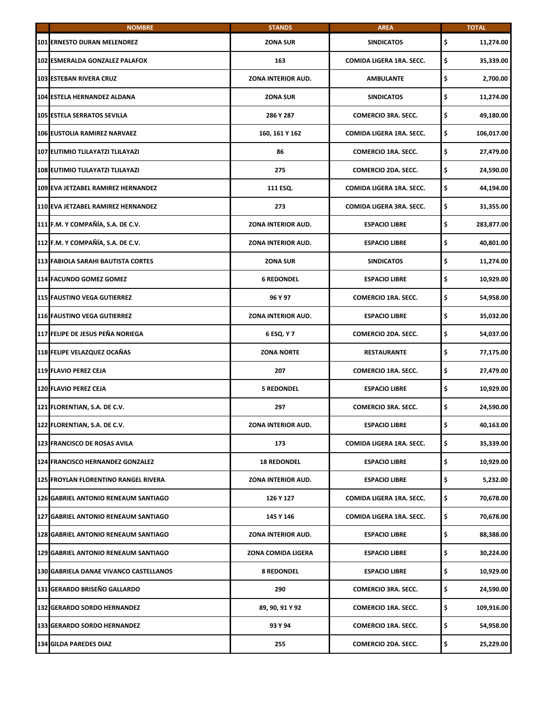| <b>NOMBRE</b>                               | <b>STANDS</b>             | <b>AREA</b>                | <b>TOTAL</b>     |
|---------------------------------------------|---------------------------|----------------------------|------------------|
| <b>101 ERNESTO DURAN MELENDREZ</b>          | <b>ZONA SUR</b>           | <b>SINDICATOS</b>          | \$<br>11,274.00  |
| 102 ESMERALDA GONZALEZ PALAFOX              | 163                       | COMIDA LIGERA 1RA. SECC.   | \$<br>35,339.00  |
| <b>103 ESTEBAN RIVERA CRUZ</b>              | ZONA INTERIOR AUD.        | <b>AMBULANTE</b>           | \$<br>2,700.00   |
| 104 ESTELA HERNANDEZ ALDANA                 | <b>ZONA SUR</b>           | <b>SINDICATOS</b>          | \$<br>11,274.00  |
| <b>105 ESTELA SERRATOS SEVILLA</b>          | 286 Y 287                 | <b>COMERCIO 3RA. SECC.</b> | \$<br>49,180.00  |
| <b>106 EUSTOLIA RAMIREZ NARVAEZ</b>         | 160, 161 Y 162            | COMIDA LIGERA 1RA. SECC.   | \$<br>106,017.00 |
| 107 EUTIMIO TLILAYATZI TLILAYAZI            | 86                        | <b>COMERCIO 1RA. SECC.</b> | \$<br>27,479.00  |
| 108 EUTIMIO TLILAYATZI TLILAYAZI            | 275                       | COMERCIO 2DA. SECC.        | \$<br>24,590.00  |
| 109 EVA JETZABEL RAMIREZ HERNANDEZ          | 111 ESQ.                  | COMIDA LIGERA 1RA. SECC.   | \$<br>44,194.00  |
| 110 EVA JETZABEL RAMIREZ HERNANDEZ          | 273                       | COMIDA LIGERA 3RA, SECC.   | \$<br>31,355.00  |
| 111 F.M. Y COMPAÑÍA, S.A. DE C.V.           | ZONA INTERIOR AUD.        | <b>ESPACIO LIBRE</b>       | \$<br>283,877.00 |
| 112 F.M. Y COMPAÑÍA, S.A. DE C.V.           | ZONA INTERIOR AUD.        | <b>ESPACIO LIBRE</b>       | \$<br>40,801.00  |
| 113 FABIOLA SARAHI BAUTISTA CORTES          | <b>ZONA SUR</b>           | <b>SINDICATOS</b>          | \$<br>11,274.00  |
| 114 FACUNDO GOMEZ GOMEZ                     | <b>6 REDONDEL</b>         | <b>ESPACIO LIBRE</b>       | \$<br>10,929.00  |
| <b>115 FAUSTINO VEGA GUTIERREZ</b>          | 96 Y 97                   | <b>COMERCIO 1RA. SECC.</b> | \$<br>54,958.00  |
| <b>116 FAUSTINO VEGA GUTIERREZ</b>          | ZONA INTERIOR AUD.        | <b>ESPACIO LIBRE</b>       | \$<br>35,032.00  |
| 117 FELIPE DE JESUS PEÑA NORIEGA            | 6 ESQ. Y 7                | <b>COMERCIO 2DA. SECC.</b> | \$<br>54,037.00  |
| 118 FELIPE VELAZQUEZ OCAÑAS                 | <b>ZONA NORTE</b>         | <b>RESTAURANTE</b>         | \$<br>77,175.00  |
| 119 FLAVIO PEREZ CEJA                       | 207                       | <b>COMERCIO 1RA. SECC.</b> | \$<br>27,479.00  |
| 120 FLAVIO PEREZ CEJA                       | <b>5 REDONDEL</b>         | <b>ESPACIO LIBRE</b>       | \$<br>10,929.00  |
| 121 FLORENTIAN, S.A. DE C.V.                | 297                       | <b>COMERCIO 3RA. SECC.</b> | \$<br>24,590.00  |
| 122 FLORENTIAN, S.A. DE C.V.                | ZONA INTERIOR AUD.        | <b>ESPACIO LIBRE</b>       | 40,163.00        |
| 123 FRANCISCO DE ROSAS AVILA                | 173                       | COMIDA LIGERA 1RA. SECC.   | \$<br>35,339.00  |
| 124 FRANCISCO HERNANDEZ GONZALEZ            | <b>18 REDONDEL</b>        | <b>ESPACIO LIBRE</b>       | \$<br>10,929.00  |
| 125 FROYLAN FLORENTINO RANGEL RIVERA        | <b>ZONA INTERIOR AUD.</b> | <b>ESPACIO LIBRE</b>       | \$<br>5,232.00   |
| 126 GABRIEL ANTONIO RENEAUM SANTIAGO        | 126 Y 127                 | COMIDA LIGERA 1RA. SECC.   | \$<br>70,678.00  |
| 127 GABRIEL ANTONIO RENEAUM SANTIAGO        | 145 Y 146                 | COMIDA LIGERA 1RA. SECC.   | \$<br>70,678.00  |
| 128 GABRIEL ANTONIO RENEAUM SANTIAGO        | ZONA INTERIOR AUD.        | <b>ESPACIO LIBRE</b>       | \$<br>88,388.00  |
| <b>129 GABRIEL ANTONIO RENEAUM SANTIAGO</b> | ZONA COMIDA LIGERA        | <b>ESPACIO LIBRE</b>       | \$<br>30,224.00  |
| 130 GABRIELA DANAE VIVANCO CASTELLANOS      | <b>8 REDONDEL</b>         | <b>ESPACIO LIBRE</b>       | \$<br>10,929.00  |
| 131 GERARDO BRISEÑO GALLARDO                | 290                       | <b>COMERCIO 3RA. SECC.</b> | \$<br>24,590.00  |
| 132 GERARDO SORDO HERNANDEZ                 | 89, 90, 91 Y 92           | <b>COMERCIO 1RA. SECC.</b> | \$<br>109,916.00 |
| 133 GERARDO SORDO HERNANDEZ                 | 93 Y 94                   | <b>COMERCIO 1RA. SECC.</b> | \$<br>54,958.00  |
| <b>134 GILDA PAREDES DIAZ</b>               | 255                       | COMERCIO 2DA. SECC.        | \$<br>25,229.00  |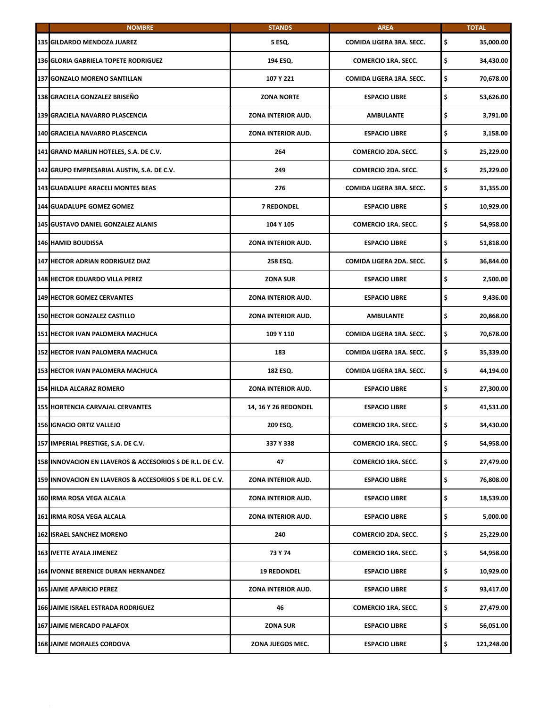| <b>NOMBRE</b>                                             | <b>STANDS</b>               | <b>AREA</b>                | <b>TOTAL</b>     |
|-----------------------------------------------------------|-----------------------------|----------------------------|------------------|
| 135 GILDARDO MENDOZA JUAREZ                               | 5 ESQ.                      | COMIDA LIGERA 3RA. SECC.   | \$<br>35,000.00  |
| <b>136 GLORIA GABRIELA TOPETE RODRIGUEZ</b>               | 194 ESQ.                    | <b>COMERCIO 1RA. SECC.</b> | \$<br>34,430.00  |
| 137 GONZALO MORENO SANTILLAN                              | 107 Y 221                   | COMIDA LIGERA 1RA. SECC.   | \$<br>70,678.00  |
| 138 GRACIELA GONZALEZ BRISEÑO                             | <b>ZONA NORTE</b>           | <b>ESPACIO LIBRE</b>       | \$<br>53,626.00  |
| 139 GRACIELA NAVARRO PLASCENCIA                           | ZONA INTERIOR AUD.          | <b>AMBULANTE</b>           | \$<br>3,791.00   |
| 140 GRACIELA NAVARRO PLASCENCIA                           | ZONA INTERIOR AUD.          | <b>ESPACIO LIBRE</b>       | \$<br>3,158.00   |
| 141 GRAND MARLIN HOTELES, S.A. DE C.V.                    | 264                         | <b>COMERCIO 2DA. SECC.</b> | \$<br>25,229.00  |
| 142 GRUPO EMPRESARIAL AUSTIN, S.A. DE C.V.                | 249                         | <b>COMERCIO 2DA. SECC.</b> | \$<br>25,229.00  |
| <b>143 GUADALUPE ARACELI MONTES BEAS</b>                  | 276                         | COMIDA LIGERA 3RA. SECC.   | \$<br>31,355.00  |
| 144 GUADALUPE GOMEZ GOMEZ                                 | <b>7 REDONDEL</b>           | <b>ESPACIO LIBRE</b>       | \$<br>10,929.00  |
| <b>145 GUSTAVO DANIEL GONZALEZ ALANIS</b>                 | 104 Y 105                   | <b>COMERCIO 1RA. SECC.</b> | \$<br>54,958.00  |
| <b>146 HAMID BOUDISSA</b>                                 | <b>ZONA INTERIOR AUD.</b>   | <b>ESPACIO LIBRE</b>       | \$<br>51,818.00  |
| <b>147 HECTOR ADRIAN RODRIGUEZ DIAZ</b>                   | 258 ESQ.                    | COMIDA LIGERA 2DA. SECC.   | \$<br>36,844.00  |
| <b>148 HECTOR EDUARDO VILLA PEREZ</b>                     | <b>ZONA SUR</b>             | <b>ESPACIO LIBRE</b>       | \$<br>2,500.00   |
| <b>149 HECTOR GOMEZ CERVANTES</b>                         | ZONA INTERIOR AUD.          | <b>ESPACIO LIBRE</b>       | \$<br>9,436.00   |
| <b>150 HECTOR GONZALEZ CASTILLO</b>                       | ZONA INTERIOR AUD.          | <b>AMBULANTE</b>           | \$<br>20,868.00  |
| 151 HECTOR IVAN PALOMERA MACHUCA                          | 109 Y 110                   | COMIDA LIGERA 1RA. SECC.   | \$<br>70,678.00  |
| 152 HECTOR IVAN PALOMERA MACHUCA                          | 183                         | COMIDA LIGERA 1RA. SECC.   | \$<br>35,339.00  |
| 153 HECTOR IVAN PALOMERA MACHUCA                          | 182 ESQ.                    | COMIDA LIGERA 1RA. SECC.   | \$<br>44,194.00  |
| <b>154 HILDA ALCARAZ ROMERO</b>                           | ZONA INTERIOR AUD.          | <b>ESPACIO LIBRE</b>       | \$<br>27,300.00  |
| <b>155 HORTENCIA CARVAJAL CERVANTES</b>                   | <b>14, 16 Y 26 REDONDEL</b> | <b>ESPACIO LIBRE</b>       | \$<br>41,531.00  |
| 156 IGNACIO ORTIZ VALLEJO                                 | 209 ESQ.                    | COMERCIO 1RA. SECC.        | 34,430.00        |
| 157 IMPERIAL PRESTIGE, S.A. DE C.V.                       | 337 Y 338                   | <b>COMERCIO 1RA. SECC.</b> | \$<br>54,958.00  |
| 158 INNOVACION EN LLAVEROS & ACCESORIOS S DE R.L. DE C.V. | 47                          | <b>COMERCIO 1RA. SECC.</b> | \$<br>27,479.00  |
| 159 INNOVACION EN LLAVEROS & ACCESORIOS S DE R.L. DE C.V. | ZONA INTERIOR AUD.          | <b>ESPACIO LIBRE</b>       | \$<br>76,808.00  |
| 160 IRMA ROSA VEGA ALCALA                                 | ZONA INTERIOR AUD.          | <b>ESPACIO LIBRE</b>       | \$<br>18,539.00  |
| 161 IRMA ROSA VEGA ALCALA                                 | ZONA INTERIOR AUD.          | <b>ESPACIO LIBRE</b>       | \$<br>5,000.00   |
| <b>162 ISRAEL SANCHEZ MORENO</b>                          | 240                         | <b>COMERCIO 2DA. SECC.</b> | \$<br>25,229.00  |
| <b>163 IVETTE AYALA JIMENEZ</b>                           | 73 Y 74                     | <b>COMERCIO 1RA. SECC.</b> | \$<br>54,958.00  |
| 164 IVONNE BERENICE DURAN HERNANDEZ                       | <b>19 REDONDEL</b>          | <b>ESPACIO LIBRE</b>       | \$<br>10,929.00  |
| <b>165 JAIME APARICIO PEREZ</b>                           | ZONA INTERIOR AUD.          | <b>ESPACIO LIBRE</b>       | \$<br>93,417.00  |
| 166 JAIME ISRAEL ESTRADA RODRIGUEZ                        | 46                          | <b>COMERCIO 1RA. SECC.</b> | \$<br>27,479.00  |
| <b>167 JAIME MERCADO PALAFOX</b>                          | <b>ZONA SUR</b>             | <b>ESPACIO LIBRE</b>       | \$<br>56,051.00  |
| <b>168 JAIME MORALES CORDOVA</b>                          | ZONA JUEGOS MEC.            | <b>ESPACIO LIBRE</b>       | \$<br>121,248.00 |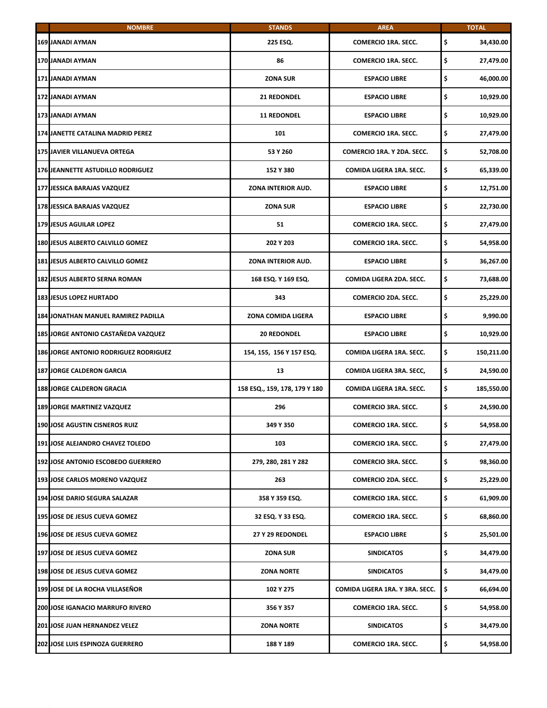| <b>NOMBRE</b>                                | <b>STANDS</b>                 | <b>AREA</b>                     | <b>TOTAL</b>     |
|----------------------------------------------|-------------------------------|---------------------------------|------------------|
| <b>169 JANADI AYMAN</b>                      | 225 ESQ.                      | <b>COMERCIO 1RA. SECC.</b>      | \$<br>34,430.00  |
| 170 JANADI AYMAN                             | 86                            | <b>COMERCIO 1RA. SECC.</b>      | \$<br>27,479.00  |
| 171 JANADI AYMAN                             | <b>ZONA SUR</b>               | <b>ESPACIO LIBRE</b>            | \$<br>46,000.00  |
| 172 JANADI AYMAN                             | <b>21 REDONDEL</b>            | <b>ESPACIO LIBRE</b>            | \$<br>10,929.00  |
| 173 JANADI AYMAN                             | <b>11 REDONDEL</b>            | <b>ESPACIO LIBRE</b>            | \$<br>10,929.00  |
| 174 JANETTE CATALINA MADRID PEREZ            | 101                           | <b>COMERCIO 1RA. SECC.</b>      | \$<br>27,479.00  |
| 175 JAVIER VILLANUEVA ORTEGA                 | 53 Y 260                      | COMERCIO 1RA. Y 2DA. SECC.      | \$<br>52,708.00  |
| <b>176 JEANNETTE ASTUDILLO RODRIGUEZ</b>     | 152 Y 380                     | COMIDA LIGERA 1RA. SECC.        | \$<br>65,339.00  |
| 177 JESSICA BARAJAS VAZQUEZ                  | ZONA INTERIOR AUD.            | <b>ESPACIO LIBRE</b>            | \$<br>12,751.00  |
| 178 JESSICA BARAJAS VAZQUEZ                  | <b>ZONA SUR</b>               | <b>ESPACIO LIBRE</b>            | \$<br>22,730.00  |
| <b>179 JESUS AGUILAR LOPEZ</b>               | 51                            | <b>COMERCIO 1RA. SECC.</b>      | \$<br>27,479.00  |
| <b>180 JESUS ALBERTO CALVILLO GOMEZ</b>      | 202 Y 203                     | <b>COMERCIO 1RA. SECC.</b>      | \$<br>54,958.00  |
| 181 JESUS ALBERTO CALVILLO GOMEZ             | ZONA INTERIOR AUD.            | <b>ESPACIO LIBRE</b>            | \$<br>36,267.00  |
| <b>182 JESUS ALBERTO SERNA ROMAN</b>         | 168 ESQ. Y 169 ESQ.           | COMIDA LIGERA 2DA. SECC.        | \$<br>73,688.00  |
| <b>183 JESUS LOPEZ HURTADO</b>               | 343                           | <b>COMERCIO 2DA. SECC.</b>      | \$<br>25,229.00  |
| 184 JONATHAN MANUEL RAMIREZ PADILLA          | ZONA COMIDA LIGERA            | <b>ESPACIO LIBRE</b>            | \$<br>9,990.00   |
| 185 JORGE ANTONIO CASTAÑEDA VAZQUEZ          | <b>20 REDONDEL</b>            | <b>ESPACIO LIBRE</b>            | \$<br>10,929.00  |
| <b>186 JORGE ANTONIO RODRIGUEZ RODRIGUEZ</b> | 154, 155, 156 Y 157 ESQ.      | COMIDA LIGERA 1RA. SECC.        | \$<br>150,211.00 |
| <b>187 JORGE CALDERON GARCIA</b>             | 13                            | COMIDA LIGERA 3RA. SECC,        | \$<br>24,590.00  |
| <b>188 JORGE CALDERON GRACIA</b>             | 158 ESQ., 159, 178, 179 Y 180 | COMIDA LIGERA 1RA. SECC.        | \$<br>185,550.00 |
| <b>189 JORGE MARTINEZ VAZQUEZ</b>            | 296                           | <b>COMERCIO 3RA. SECC.</b>      | \$<br>24,590.00  |
| 190 JOSE AGUSTIN CISNEROS RUIZ               | 349 Y 350                     | COMERCIO 1RA. SECC.             | 54,958.00        |
| 191 JOSE ALEJANDRO CHAVEZ TOLEDO             | 103                           | <b>COMERCIO 1RA. SECC.</b>      | \$<br>27,479.00  |
| 192 JOSE ANTONIO ESCOBEDO GUERRERO           | 279, 280, 281 Y 282           | <b>COMERCIO 3RA. SECC.</b>      | \$<br>98,360.00  |
| 193 JOSE CARLOS MORENO VAZQUEZ               | 263                           | COMERCIO 2DA. SECC.             | \$<br>25,229.00  |
| 194 JOSE DARIO SEGURA SALAZAR                | 358 Y 359 ESQ.                | <b>COMERCIO 1RA. SECC.</b>      | \$<br>61,909.00  |
| 195 JOSE DE JESUS CUEVA GOMEZ                | 32 ESQ. Y 33 ESQ.             | <b>COMERCIO 1RA. SECC.</b>      | \$<br>68,860.00  |
| 196 JOSE DE JESUS CUEVA GOMEZ                | 27 Y 29 REDONDEL              | <b>ESPACIO LIBRE</b>            | \$<br>25,501.00  |
| 197 JOSE DE JESUS CUEVA GOMEZ                | ZONA SUR                      | <b>SINDICATOS</b>               | \$<br>34,479.00  |
| 198 JOSE DE JESUS CUEVA GOMEZ                | <b>ZONA NORTE</b>             | <b>SINDICATOS</b>               | \$<br>34,479.00  |
| <b>199 JOSE DE LA ROCHA VILLASEÑOR</b>       | 102 Y 275                     | COMIDA LIGERA 1RA. Y 3RA. SECC. | \$<br>66,694.00  |
| 200 JOSE IGANACIO MARRUFO RIVERO             | 356 Y 357                     | <b>COMERCIO 1RA. SECC.</b>      | \$<br>54,958.00  |
| 201 JOSE JUAN HERNANDEZ VELEZ                | <b>ZONA NORTE</b>             | <b>SINDICATOS</b>               | \$<br>34,479.00  |
| 202 JOSE LUIS ESPINOZA GUERRERO              | 188 Y 189                     | <b>COMERCIO 1RA. SECC.</b>      | \$<br>54,958.00  |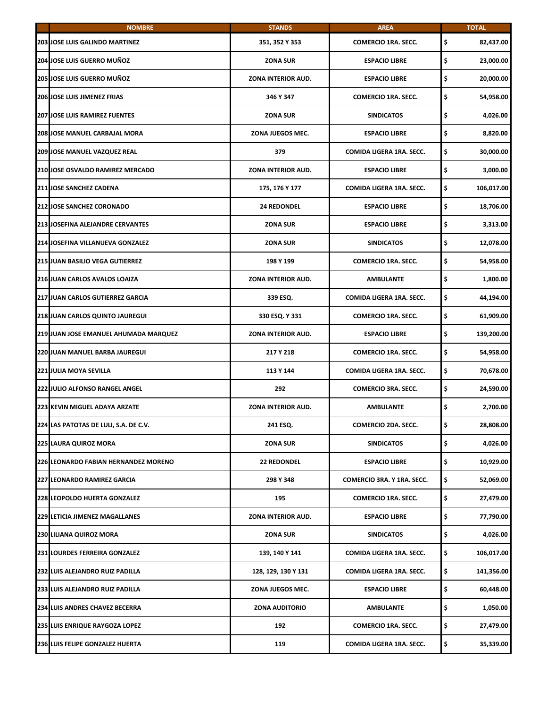| <b>NOMBRE</b>                          | <b>STANDS</b>         | <b>AREA</b>                     | <b>TOTAL</b>     |
|----------------------------------------|-----------------------|---------------------------------|------------------|
| <b>203 JOSE LUIS GALINDO MARTINEZ</b>  | 351, 352 Y 353        | <b>COMERCIO 1RA. SECC.</b>      | \$<br>82,437.00  |
| 204 JOSE LUIS GUERRO MUÑOZ             | <b>ZONA SUR</b>       | <b>ESPACIO LIBRE</b>            | \$<br>23,000.00  |
| 205 JOSE LUIS GUERRO MUÑOZ             | ZONA INTERIOR AUD.    | <b>ESPACIO LIBRE</b>            | \$<br>20,000.00  |
| <b>206 JOSE LUIS JIMENEZ FRIAS</b>     | 346 Y 347             | <b>COMERCIO 1RA. SECC.</b>      | \$<br>54,958.00  |
| <b>207 JOSE LUIS RAMIREZ FUENTES</b>   | <b>ZONA SUR</b>       | <b>SINDICATOS</b>               | \$<br>4,026.00   |
| 208 JOSE MANUEL CARBAJAL MORA          | ZONA JUEGOS MEC.      | <b>ESPACIO LIBRE</b>            | \$<br>8,820.00   |
| <b>209 JOSE MANUEL VAZQUEZ REAL</b>    | 379                   | COMIDA LIGERA 1RA. SECC.        | \$<br>30,000.00  |
| 210 JOSE OSVALDO RAMIREZ MERCADO       | ZONA INTERIOR AUD.    | <b>ESPACIO LIBRE</b>            | \$<br>3,000.00   |
| 211 JOSE SANCHEZ CADENA                | 175, 176 Y 177        | COMIDA LIGERA 1RA. SECC.        | \$<br>106,017.00 |
| <b>212 JOSE SANCHEZ CORONADO</b>       | <b>24 REDONDEL</b>    | <b>ESPACIO LIBRE</b>            | \$<br>18,706.00  |
| 213 JOSEFINA ALEJANDRE CERVANTES       | <b>ZONA SUR</b>       | <b>ESPACIO LIBRE</b>            | \$<br>3,313.00   |
| 214 JOSEFINA VILLANUEVA GONZALEZ       | <b>ZONA SUR</b>       | <b>SINDICATOS</b>               | \$<br>12,078.00  |
| <b>215 JUAN BASILIO VEGA GUTIERREZ</b> | 198 Y 199             | <b>COMERCIO 1RA. SECC.</b>      | \$<br>54,958.00  |
| 216 JUAN CARLOS AVALOS LOAIZA          | ZONA INTERIOR AUD.    | <b>AMBULANTE</b>                | \$<br>1,800.00   |
| 217 JUAN CARLOS GUTIERREZ GARCIA       | 339 ESQ.              | COMIDA LIGERA 1RA. SECC.        | \$<br>44,194.00  |
| 218 JUAN CARLOS QUINTO JAUREGUI        | 330 ESQ. Y 331        | <b>COMERCIO 1RA. SECC.</b>      | \$<br>61,909.00  |
| 219 JUAN JOSE EMANUEL AHUMADA MARQUEZ  | ZONA INTERIOR AUD.    | <b>ESPACIO LIBRE</b>            | \$<br>139,200.00 |
| 220 JUAN MANUEL BARBA JAUREGUI         | 217 Y 218             | <b>COMERCIO 1RA. SECC.</b>      | \$<br>54,958.00  |
| <b>221 JULIA MOYA SEVILLA</b>          | 113 Y 144             | <b>COMIDA LIGERA 1RA, SECC.</b> | \$<br>70,678.00  |
| 222 JULIO ALFONSO RANGEL ANGEL         | 292                   | <b>COMERCIO 3RA. SECC.</b>      | \$<br>24,590.00  |
| 223 KEVIN MIGUEL ADAYA ARZATE          | ZONA INTERIOR AUD.    | <b>AMBULANTE</b>                | \$<br>2,700.00   |
| 224 LAS PATOTAS DE LULI, S.A. DE C.V.  | 241 ESQ.              | COMERCIO 2DA. SECC.             | 28,808.00        |
| <b>225 LAURA QUIROZ MORA</b>           | <b>ZONA SUR</b>       | <b>SINDICATOS</b>               | \$<br>4,026.00   |
| 226 LEONARDO FABIAN HERNANDEZ MORENO   | <b>22 REDONDEL</b>    | <b>ESPACIO LIBRE</b>            | \$<br>10,929.00  |
| <b>227 LEONARDO RAMIREZ GARCIA</b>     | 298 Y 348             | COMERCIO 3RA. Y 1RA. SECC.      | \$<br>52,069.00  |
| 228 LEOPOLDO HUERTA GONZALEZ           | 195                   | <b>COMERCIO 1RA. SECC.</b>      | \$<br>27,479.00  |
| 229 LETICIA JIMENEZ MAGALLANES         | ZONA INTERIOR AUD.    | <b>ESPACIO LIBRE</b>            | \$<br>77,790.00  |
| <b>230 LILIANA QUIROZ MORA</b>         | <b>ZONA SUR</b>       | <b>SINDICATOS</b>               | \$<br>4,026.00   |
| 231 LOURDES FERREIRA GONZALEZ          | 139, 140 Y 141        | COMIDA LIGERA 1RA. SECC.        | \$<br>106,017.00 |
| 232 LUIS ALEJANDRO RUIZ PADILLA        | 128, 129, 130 Y 131   | COMIDA LIGERA 1RA. SECC.        | \$<br>141,356.00 |
| 233 LUIS ALEJANDRO RUIZ PADILLA        | ZONA JUEGOS MEC.      | <b>ESPACIO LIBRE</b>            | \$<br>60,448.00  |
| 234 LUIS ANDRES CHAVEZ BECERRA         | <b>ZONA AUDITORIO</b> | <b>AMBULANTE</b>                | \$<br>1,050.00   |
| 235 LUIS ENRIQUE RAYGOZA LOPEZ         | 192                   | <b>COMERCIO 1RA. SECC.</b>      | \$<br>27,479.00  |
| 236 LUIS FELIPE GONZALEZ HUERTA        | 119                   | COMIDA LIGERA 1RA. SECC.        | \$<br>35,339.00  |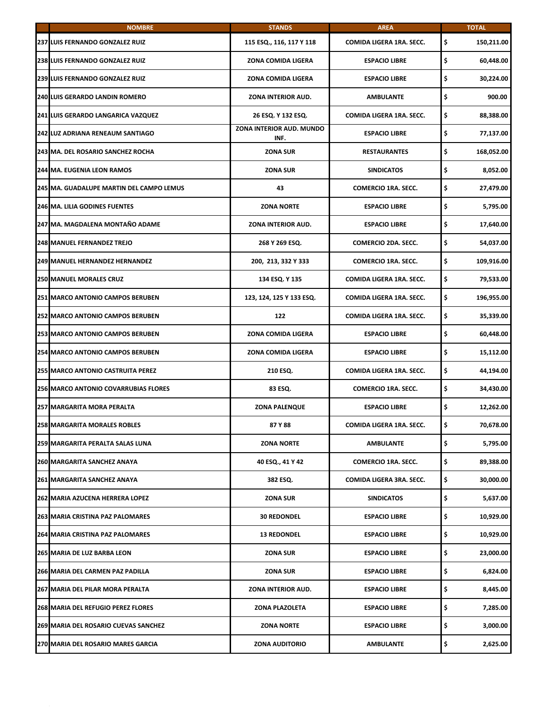| <b>NOMBRE</b>                             | <b>STANDS</b>                    | <b>AREA</b>                | <b>TOTAL</b>     |
|-------------------------------------------|----------------------------------|----------------------------|------------------|
| 237 LUIS FERNANDO GONZALEZ RUIZ           | 115 ESQ., 116, 117 Y 118         | COMIDA LIGERA 1RA. SECC.   | \$<br>150,211.00 |
| <b>238 LUIS FERNANDO GONZALEZ RUIZ</b>    | ZONA COMIDA LIGERA               | <b>ESPACIO LIBRE</b>       | \$<br>60,448.00  |
| 239 LUIS FERNANDO GONZALEZ RUIZ           | <b>ZONA COMIDA LIGERA</b>        | <b>ESPACIO LIBRE</b>       | \$<br>30,224.00  |
| 240 LUIS GERARDO LANDIN ROMERO            | ZONA INTERIOR AUD.               | AMBULANTE                  | \$<br>900.00     |
| <b>241 LUIS GERARDO LANGARICA VAZQUEZ</b> | 26 ESQ. Y 132 ESQ.               | COMIDA LIGERA 1RA. SECC.   | \$<br>88,388.00  |
| 242 LUZ ADRIANA RENEAUM SANTIAGO          | ZONA INTERIOR AUD. MUNDO<br>INF. | <b>ESPACIO LIBRE</b>       | \$<br>77,137.00  |
| 243 MA. DEL ROSARIO SANCHEZ ROCHA         | <b>ZONA SUR</b>                  | <b>RESTAURANTES</b>        | \$<br>168,052.00 |
| 244 MA. EUGENIA LEON RAMOS                | <b>ZONA SUR</b>                  | <b>SINDICATOS</b>          | \$<br>8,052.00   |
| 245 MA. GUADALUPE MARTIN DEL CAMPO LEMUS  | 43                               | <b>COMERCIO 1RA. SECC.</b> | \$<br>27,479.00  |
| <b>246 MA. LILIA GODINES FUENTES</b>      | <b>ZONA NORTE</b>                | <b>ESPACIO LIBRE</b>       | \$<br>5,795.00   |
| 247 MA. MAGDALENA MONTAÑO ADAME           | ZONA INTERIOR AUD.               | <b>ESPACIO LIBRE</b>       | \$<br>17,640.00  |
| <b>248 MANUEL FERNANDEZ TREJO</b>         | 268 Y 269 ESQ.                   | <b>COMERCIO 2DA. SECC.</b> | \$<br>54,037.00  |
| <b>249 MANUEL HERNANDEZ HERNANDEZ</b>     | 200, 213, 332 Y 333              | <b>COMERCIO 1RA, SECC.</b> | \$<br>109,916.00 |
| <b>250 MANUEL MORALES CRUZ</b>            | 134 ESQ. Y 135                   | COMIDA LIGERA 1RA. SECC.   | \$<br>79,533.00  |
| 251 MARCO ANTONIO CAMPOS BERUBEN          | 123, 124, 125 Y 133 ESQ.         | COMIDA LIGERA 1RA. SECC.   | \$<br>196,955.00 |
| 252 MARCO ANTONIO CAMPOS BERUBEN          | 122                              | COMIDA LIGERA 1RA. SECC.   | \$<br>35,339.00  |
| <b>253 MARCO ANTONIO CAMPOS BERUBEN</b>   | ZONA COMIDA LIGERA               | <b>ESPACIO LIBRE</b>       | \$<br>60,448.00  |
| 254 MARCO ANTONIO CAMPOS BERUBEN          | ZONA COMIDA LIGERA               | <b>ESPACIO LIBRE</b>       | \$<br>15,112.00  |
| 255 MARCO ANTONIO CASTRUITA PEREZ         | 210 ESQ.                         | COMIDA LIGERA 1RA. SECC.   | \$<br>44,194.00  |
| 256 MARCO ANTONIO COVARRUBIAS FLORES      | 83 ESQ.                          | <b>COMERCIO 1RA. SECC.</b> | \$<br>34,430.00  |
| 257 MARGARITA MORA PERALTA                | <b>ZONA PALENQUE</b>             | <b>ESPACIO LIBRE</b>       | \$<br>12,262.00  |
| 258 MARGARITA MORALES ROBLES              | 87 Y 88                          | COMIDA LIGERA 1RA. SECC.   | 70,678.00        |
| <b>259 MARGARITA PERALTA SALAS LUNA</b>   | <b>ZONA NORTE</b>                | <b>AMBULANTE</b>           | \$<br>5.795.00   |
| 260 MARGARITA SANCHEZ ANAYA               | 40 ESQ., 41 Y 42                 | <b>COMERCIO 1RA. SECC.</b> | \$<br>89,388.00  |
| 261 MARGARITA SANCHEZ ANAYA               | 382 ESQ.                         | COMIDA LIGERA 3RA. SECC.   | \$<br>30,000.00  |
| 262 MARIA AZUCENA HERRERA LOPEZ           | <b>ZONA SUR</b>                  | <b>SINDICATOS</b>          | \$<br>5,637.00   |
| 263 MARIA CRISTINA PAZ PALOMARES          | <b>30 REDONDEL</b>               | <b>ESPACIO LIBRE</b>       | \$<br>10,929.00  |
| 264 MARIA CRISTINA PAZ PALOMARES          | <b>13 REDONDEL</b>               | <b>ESPACIO LIBRE</b>       | \$<br>10,929.00  |
| 265 MARIA DE LUZ BARBA LEON               | <b>ZONA SUR</b>                  | <b>ESPACIO LIBRE</b>       | \$<br>23,000.00  |
| 266 MARIA DEL CARMEN PAZ PADILLA          | <b>ZONA SUR</b>                  | <b>ESPACIO LIBRE</b>       | \$<br>6,824.00   |
| 267 MARIA DEL PILAR MORA PERALTA          | ZONA INTERIOR AUD.               | <b>ESPACIO LIBRE</b>       | \$<br>8,445.00   |
| 268 MARIA DEL REFUGIO PEREZ FLORES        | ZONA PLAZOLETA                   | <b>ESPACIO LIBRE</b>       | \$<br>7,285.00   |
| 269 MARIA DEL ROSARIO CUEVAS SANCHEZ      | <b>ZONA NORTE</b>                | <b>ESPACIO LIBRE</b>       | \$<br>3,000.00   |
| 270 MARIA DEL ROSARIO MARES GARCIA        | <b>ZONA AUDITORIO</b>            | <b>AMBULANTE</b>           | \$<br>2,625.00   |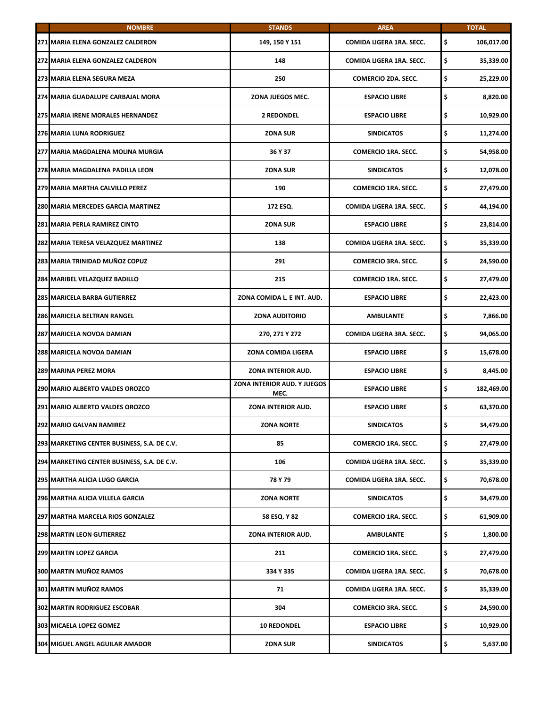| <b>NOMBRE</b>                               | <b>STANDS</b>                       | <b>AREA</b>                | <b>TOTAL</b>     |
|---------------------------------------------|-------------------------------------|----------------------------|------------------|
| 271 MARIA ELENA GONZALEZ CALDERON           | 149, 150 Y 151                      | COMIDA LIGERA 1RA. SECC.   | \$<br>106,017.00 |
| 272 MARIA ELENA GONZALEZ CALDERON           | 148                                 | COMIDA LIGERA 1RA. SECC.   | \$<br>35,339.00  |
| 273 MARIA ELENA SEGURA MEZA                 | 250                                 | COMERCIO 2DA. SECC.        | \$<br>25,229.00  |
| 274 MARIA GUADALUPE CARBAJAL MORA           | ZONA JUEGOS MEC.                    | <b>ESPACIO LIBRE</b>       | \$<br>8,820.00   |
| <b>275 MARIA IRENE MORALES HERNANDEZ</b>    | <b>2 REDONDEL</b>                   | <b>ESPACIO LIBRE</b>       | \$<br>10,929.00  |
| 276 MARIA LUNA RODRIGUEZ                    | <b>ZONA SUR</b>                     | <b>SINDICATOS</b>          | \$<br>11,274.00  |
| 277 MARIA MAGDALENA MOLINA MURGIA           | 36 Y 37                             | <b>COMERCIO 1RA. SECC.</b> | \$<br>54,958.00  |
| 278 MARIA MAGDALENA PADILLA LEON            | <b>ZONA SUR</b>                     | <b>SINDICATOS</b>          | \$<br>12,078.00  |
| 279 MARIA MARTHA CALVILLO PEREZ             | 190                                 | <b>COMERCIO 1RA. SECC.</b> | \$<br>27,479.00  |
| 280 MARIA MERCEDES GARCIA MARTINEZ          | 172 ESQ.                            | COMIDA LIGERA 1RA. SECC.   | \$<br>44,194.00  |
| 281 MARIA PERLA RAMIREZ CINTO               | <b>ZONA SUR</b>                     | <b>ESPACIO LIBRE</b>       | \$<br>23,814.00  |
| 282 MARIA TERESA VELAZQUEZ MARTINEZ         | 138                                 | COMIDA LIGERA 1RA. SECC.   | \$<br>35,339.00  |
| 283 MARIA TRINIDAD MUÑOZ COPUZ              | 291                                 | <b>COMERCIO 3RA. SECC.</b> | \$<br>24,590.00  |
| 284 MARIBEL VELAZQUEZ BADILLO               | 215                                 | <b>COMERCIO 1RA. SECC.</b> | \$<br>27,479.00  |
| <b>285 MARICELA BARBA GUTIERREZ</b>         | ZONA COMIDA L. E INT. AUD.          | <b>ESPACIO LIBRE</b>       | \$<br>22,423.00  |
| 286 MARICELA BELTRAN RANGEL                 | <b>ZONA AUDITORIO</b>               | <b>AMBULANTE</b>           | \$<br>7,866.00   |
| 287 MARICELA NOVOA DAMIAN                   | 270, 271 Y 272                      | COMIDA LIGERA 3RA. SECC.   | \$<br>94,065.00  |
| 288 MARICELA NOVOA DAMIAN                   | ZONA COMIDA LIGERA                  | <b>ESPACIO LIBRE</b>       | \$<br>15,678.00  |
| <b>289 MARINA PEREZ MORA</b>                | ZONA INTERIOR AUD.                  | <b>ESPACIO LIBRE</b>       | \$<br>8,445.00   |
| 290 MARIO ALBERTO VALDES OROZCO             | ZONA INTERIOR AUD. Y JUEGOS<br>MEC. | <b>ESPACIO LIBRE</b>       | \$<br>182,469.00 |
| 291 MARIO ALBERTO VALDES OROZCO             | ZONA INTERIOR AUD.                  | <b>ESPACIO LIBRE</b>       | \$<br>63,370.00  |
| 292 MARIO GALVAN RAMIREZ                    | <b>ZONA NORTE</b>                   | <b>SINDICATOS</b>          | 34,479.00        |
| 293 MARKETING CENTER BUSINESS, S.A. DE C.V. | 85                                  | <b>COMERCIO 1RA. SECC.</b> | \$<br>27,479.00  |
| 294 MARKETING CENTER BUSINESS, S.A. DE C.V. | 106                                 | COMIDA LIGERA 1RA. SECC.   | \$<br>35,339.00  |
| 295 MARTHA ALICIA LUGO GARCIA               | 78 Y 79                             | COMIDA LIGERA 1RA. SECC.   | \$<br>70,678.00  |
| 296 MARTHA ALICIA VILLELA GARCIA            | <b>ZONA NORTE</b>                   | <b>SINDICATOS</b>          | \$<br>34,479.00  |
| 297 MARTHA MARCELA RIOS GONZALEZ            | 58 ESQ. Y 82                        | <b>COMERCIO 1RA. SECC.</b> | \$<br>61,909.00  |
| <b>298 MARTIN LEON GUTIERREZ</b>            | ZONA INTERIOR AUD.                  | <b>AMBULANTE</b>           | \$<br>1,800.00   |
| 299 MARTIN LOPEZ GARCIA                     | 211                                 | <b>COMERCIO 1RA. SECC.</b> | \$<br>27,479.00  |
| 300 MARTIN MUÑOZ RAMOS                      | 334 Y 335                           | COMIDA LIGERA 1RA. SECC.   | \$<br>70,678.00  |
| 301 MARTIN MUÑOZ RAMOS                      | 71                                  | COMIDA LIGERA 1RA. SECC.   | \$<br>35,339.00  |
| <b>302 MARTIN RODRIGUEZ ESCOBAR</b>         | 304                                 | <b>COMERCIO 3RA. SECC.</b> | \$<br>24,590.00  |
| 303 MICAELA LOPEZ GOMEZ                     | <b>10 REDONDEL</b>                  | <b>ESPACIO LIBRE</b>       | \$<br>10,929.00  |
| <b>304 MIGUEL ANGEL AGUILAR AMADOR</b>      | <b>ZONA SUR</b>                     | <b>SINDICATOS</b>          | \$<br>5,637.00   |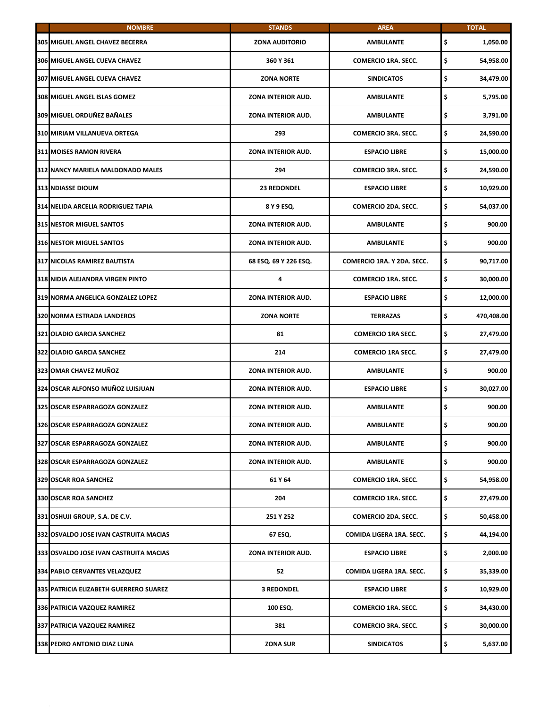| <b>NOMBRE</b>                           | <b>STANDS</b>             | <b>AREA</b>                | <b>TOTAL</b>     |
|-----------------------------------------|---------------------------|----------------------------|------------------|
| <b>305 MIGUEL ANGEL CHAVEZ BECERRA</b>  | <b>ZONA AUDITORIO</b>     | <b>AMBULANTE</b>           | \$<br>1,050.00   |
| <b>306 MIGUEL ANGEL CUEVA CHAVEZ</b>    | 360 Y 361                 | <b>COMERCIO 1RA. SECC.</b> | \$<br>54,958.00  |
| <b>307 MIGUEL ANGEL CUEVA CHAVEZ</b>    | <b>ZONA NORTE</b>         | <b>SINDICATOS</b>          | \$<br>34,479.00  |
| 308 MIGUEL ANGEL ISLAS GOMEZ            | ZONA INTERIOR AUD.        | <b>AMBULANTE</b>           | \$<br>5,795.00   |
| 309 MIGUEL ORDUÑEZ BAÑALES              | ZONA INTERIOR AUD.        | <b>AMBULANTE</b>           | \$<br>3,791.00   |
| 310 MIRIAM VILLANUEVA ORTEGA            | 293                       | <b>COMERCIO 3RA. SECC.</b> | \$<br>24,590.00  |
| <b>311 MOISES RAMON RIVERA</b>          | ZONA INTERIOR AUD.        | <b>ESPACIO LIBRE</b>       | \$<br>15,000.00  |
| 312 NANCY MARIELA MALDONADO MALES       | 294                       | <b>COMERCIO 3RA. SECC.</b> | \$<br>24,590.00  |
| <b>313 NDIASSE DIOUM</b>                | <b>23 REDONDEL</b>        | <b>ESPACIO LIBRE</b>       | \$<br>10,929.00  |
| 314 NELIDA ARCELIA RODRIGUEZ TAPIA      | 8 Y 9 ESQ.                | <b>COMERCIO 2DA. SECC.</b> | \$<br>54,037.00  |
| <b>315 NESTOR MIGUEL SANTOS</b>         | ZONA INTERIOR AUD.        | <b>AMBULANTE</b>           | \$<br>900.00     |
| <b>316 NESTOR MIGUEL SANTOS</b>         | <b>ZONA INTERIOR AUD.</b> | <b>AMBULANTE</b>           | \$<br>900.00     |
| 317 NICOLAS RAMIREZ BAUTISTA            | 68 ESQ. 69 Y 226 ESQ.     | COMERCIO 1RA. Y 2DA. SECC. | \$<br>90,717.00  |
| <b>318 NIDIA ALEJANDRA VIRGEN PINTO</b> | 4                         | <b>COMERCIO 1RA. SECC.</b> | \$<br>30,000.00  |
| 319 NORMA ANGELICA GONZALEZ LOPEZ       | ZONA INTERIOR AUD.        | <b>ESPACIO LIBRE</b>       | \$<br>12,000.00  |
| <b>320 NORMA ESTRADA LANDEROS</b>       | <b>ZONA NORTE</b>         | <b>TERRAZAS</b>            | \$<br>470,408.00 |
| 321 OLADIO GARCIA SANCHEZ               | 81                        | <b>COMERCIO 1RA SECC.</b>  | \$<br>27,479.00  |
| <b>322 OLADIO GARCIA SANCHEZ</b>        | 214                       | <b>COMERCIO 1RA SECC.</b>  | \$<br>27,479.00  |
| 323 OMAR CHAVEZ MUÑOZ                   | <b>ZONA INTERIOR AUD.</b> | <b>AMBULANTE</b>           | \$<br>900.00     |
| 324 OSCAR ALFONSO MUÑOZ LUISJUAN        | ZONA INTERIOR AUD.        | <b>ESPACIO LIBRE</b>       | \$<br>30,027.00  |
| 325 OSCAR ESPARRAGOZA GONZALEZ          | ZONA INTERIOR AUD.        | <b>AMBULANTE</b>           | \$<br>900.00     |
| 326 OSCAR ESPARRAGOZA GONZALEZ          | ZONA INTERIOR AUD.        | AMBULANTE                  | \$<br>900.00     |
| 327 OSCAR ESPARRAGOZA GONZALEZ          | ZONA INTERIOR AUD.        | AMBULANTE                  | \$<br>900.00     |
| 328 OSCAR ESPARRAGOZA GONZALEZ          | ZONA INTERIOR AUD.        | <b>AMBULANTE</b>           | \$<br>900.00     |
| <b>329 OSCAR ROA SANCHEZ</b>            | 61 Y 64                   | <b>COMERCIO 1RA. SECC.</b> | \$<br>54,958.00  |
| <b>330 OSCAR ROA SANCHEZ</b>            | 204                       | <b>COMERCIO 1RA. SECC.</b> | \$<br>27,479.00  |
| 331 OSHUJI GROUP, S.A. DE C.V.          | 251 Y 252                 | COMERCIO 2DA. SECC.        | \$<br>50,458.00  |
| 332 OSVALDO JOSE IVAN CASTRUITA MACIAS  | 67 ESQ.                   | COMIDA LIGERA 1RA. SECC.   | \$<br>44,194.00  |
| 333 OSVALDO JOSE IVAN CASTRUITA MACIAS  | ZONA INTERIOR AUD.        | <b>ESPACIO LIBRE</b>       | \$<br>2,000.00   |
| 334 PABLO CERVANTES VELAZQUEZ           | 52                        | COMIDA LIGERA 1RA. SECC.   | \$<br>35,339.00  |
| 335 PATRICIA ELIZABETH GUERRERO SUAREZ  | <b>3 REDONDEL</b>         | <b>ESPACIO LIBRE</b>       | \$<br>10,929.00  |
| 336 PATRICIA VAZQUEZ RAMIREZ            | 100 ESQ.                  | <b>COMERCIO 1RA. SECC.</b> | \$<br>34,430.00  |
| 337 PATRICIA VAZQUEZ RAMIREZ            | 381                       | <b>COMERCIO 3RA. SECC.</b> | \$<br>30,000.00  |
| 338 PEDRO ANTONIO DIAZ LUNA             | <b>ZONA SUR</b>           | <b>SINDICATOS</b>          | \$<br>5,637.00   |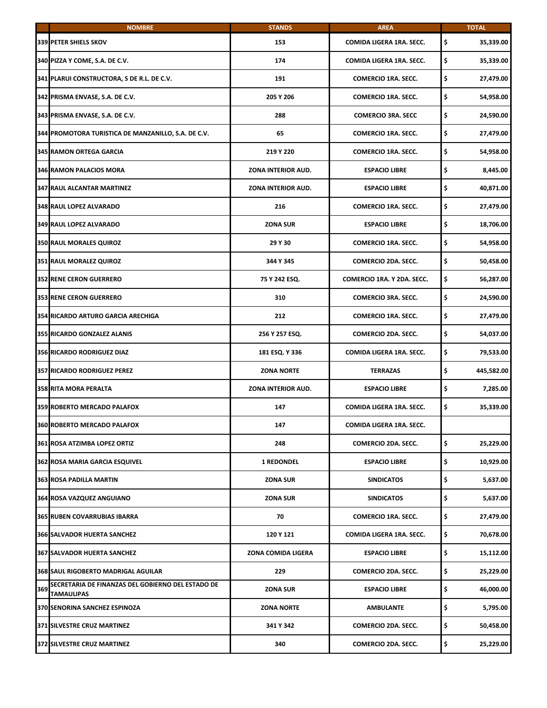|     | <b>NOMBRE</b>                                                   | <b>STANDS</b>      | <b>AREA</b>                | <b>TOTAL</b>     |
|-----|-----------------------------------------------------------------|--------------------|----------------------------|------------------|
|     | <b>339 PETER SHIELS SKOV</b>                                    | 153                | COMIDA LIGERA 1RA. SECC.   | \$<br>35,339.00  |
|     | 340 PIZZA Y COME, S.A. DE C.V.                                  | 174                | COMIDA LIGERA 1RA. SECC.   | \$<br>35,339.00  |
|     | 341 PLARUI CONSTRUCTORA, S DE R.L. DE C.V.                      | 191                | <b>COMERCIO 1RA. SECC.</b> | \$<br>27,479.00  |
|     | 342 PRISMA ENVASE, S.A. DE C.V.                                 | 205 Y 206          | <b>COMERCIO 1RA. SECC.</b> | \$<br>54,958.00  |
|     | 343 PRISMA ENVASE, S.A. DE C.V.                                 | 288                | <b>COMERCIO 3RA. SECC</b>  | \$<br>24,590.00  |
|     | 344 PROMOTORA TURISTICA DE MANZANILLO, S.A. DE C.V.             | 65                 | <b>COMERCIO 1RA. SECC.</b> | \$<br>27,479.00  |
|     | 345 RAMON ORTEGA GARCIA                                         | 219 Y 220          | <b>COMERCIO 1RA. SECC.</b> | \$<br>54,958.00  |
|     | 346 RAMON PALACIOS MORA                                         | ZONA INTERIOR AUD. | <b>ESPACIO LIBRE</b>       | \$<br>8,445.00   |
|     | <b>347 RAUL ALCANTAR MARTINEZ</b>                               | ZONA INTERIOR AUD. | <b>ESPACIO LIBRE</b>       | \$<br>40,871.00  |
|     | 348 RAUL LOPEZ ALVARADO                                         | 216                | <b>COMERCIO 1RA. SECC.</b> | \$<br>27,479.00  |
|     | <b>349 RAUL LOPEZ ALVARADO</b>                                  | <b>ZONA SUR</b>    | <b>ESPACIO LIBRE</b>       | \$<br>18,706.00  |
|     | <b>350 RAUL MORALES QUIROZ</b>                                  | 29 Y 30            | <b>COMERCIO 1RA. SECC.</b> | \$<br>54,958.00  |
|     | 351 RAUL MORALEZ QUIROZ                                         | 344 Y 345          | <b>COMERCIO 2DA. SECC.</b> | \$<br>50,458.00  |
|     | <b>352 RENE CERON GUERRERO</b>                                  | 75 Y 242 ESQ.      | COMERCIO 1RA. Y 2DA. SECC. | \$<br>56,287.00  |
|     | <b>353 RENE CERON GUERRERO</b>                                  | 310                | <b>COMERCIO 3RA. SECC.</b> | \$<br>24,590.00  |
|     | 354 RICARDO ARTURO GARCIA ARECHIGA                              | 212                | <b>COMERCIO 1RA. SECC.</b> | \$<br>27,479.00  |
|     | 355 RICARDO GONZALEZ ALANIS                                     | 256 Y 257 ESQ.     | <b>COMERCIO 2DA. SECC.</b> | \$<br>54,037.00  |
|     | <b>356 RICARDO RODRIGUEZ DIAZ</b>                               | 181 ESQ. Y 336     | COMIDA LIGERA 1RA. SECC.   | \$<br>79,533.00  |
|     | 357 RICARDO RODRIGUEZ PEREZ                                     | <b>ZONA NORTE</b>  | <b>TERRAZAS</b>            | \$<br>445,582.00 |
|     | <b>358 RITA MORA PERALTA</b>                                    | ZONA INTERIOR AUD. | <b>ESPACIO LIBRE</b>       | \$<br>7,285.00   |
|     | 359 ROBERTO MERCADO PALAFOX                                     | 147                | COMIDA LIGERA 1RA. SECC.   | \$<br>35,339.00  |
|     | 360 ROBERTO MERCADO PALAFOX                                     | 147                | COMIDA LIGERA 1RA. SECC.   |                  |
|     | 361 ROSA ATZIMBA LOPEZ ORTIZ                                    | 248                | <b>COMERCIO 2DA. SECC.</b> | \$<br>25,229.00  |
|     | 362 ROSA MARIA GARCIA ESQUIVEL                                  | <b>1 REDONDEL</b>  | <b>ESPACIO LIBRE</b>       | \$<br>10,929.00  |
|     | <b>363 ROSA PADILLA MARTIN</b>                                  | <b>ZONA SUR</b>    | <b>SINDICATOS</b>          | \$<br>5,637.00   |
|     | 364 ROSA VAZQUEZ ANGUIANO                                       | <b>ZONA SUR</b>    | <b>SINDICATOS</b>          | \$<br>5,637.00   |
|     | <b>365 RUBEN COVARRUBIAS IBARRA</b>                             | 70                 | <b>COMERCIO 1RA. SECC.</b> | \$<br>27,479.00  |
|     | <b>366 SALVADOR HUERTA SANCHEZ</b>                              | 120 Y 121          | COMIDA LIGERA 1RA. SECC.   | \$<br>70,678.00  |
|     | 367 SALVADOR HUERTA SANCHEZ                                     | ZONA COMIDA LIGERA | <b>ESPACIO LIBRE</b>       | \$<br>15,112.00  |
|     | 368 SAUL RIGOBERTO MADRIGAL AGUILAR                             | 229                | <b>COMERCIO 2DA. SECC.</b> | \$<br>25,229.00  |
| 369 | SECRETARIA DE FINANZAS DEL GOBIERNO DEL ESTADO DE<br>TAMAULIPAS | <b>ZONA SUR</b>    | <b>ESPACIO LIBRE</b>       | \$<br>46,000.00  |
|     | 370 SENORINA SANCHEZ ESPINOZA                                   | <b>ZONA NORTE</b>  | AMBULANTE                  | \$<br>5,795.00   |
|     | 371 SILVESTRE CRUZ MARTINEZ                                     | 341 Y 342          | <b>COMERCIO 2DA. SECC.</b> | \$<br>50,458.00  |
|     | 372 SILVESTRE CRUZ MARTINEZ                                     | 340                | COMERCIO 2DA. SECC.        | \$<br>25,229.00  |